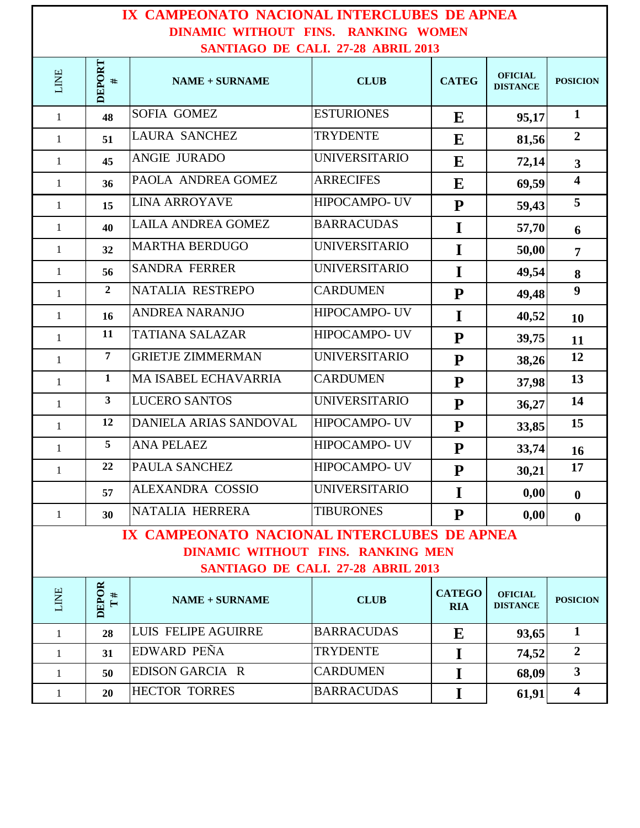## **IX CAMPEONATO NACIONAL INTERCLUBES DE APNEA DINAMIC WITHOUT FINS. RANKING WOMEN SANTIAGO DE CALI. 27-28 ABRIL 2013**

| <u>DANTIAUU DE CALI. 27-20 ADNIL 2015</u>   |                              |                                   |                      |                             |                                   |                         |  |  |  |  |  |
|---------------------------------------------|------------------------------|-----------------------------------|----------------------|-----------------------------|-----------------------------------|-------------------------|--|--|--|--|--|
| LINE                                        | DEPORT<br>#                  | <b>NAME + SURNAME</b>             | <b>CLUB</b>          | <b>CATEG</b>                | <b>OFICIAL</b><br><b>DISTANCE</b> | <b>POSICION</b>         |  |  |  |  |  |
| $\mathbf{1}$                                | 48                           | <b>SOFIA GOMEZ</b>                | <b>ESTURIONES</b>    | E                           | 95,17                             | $\mathbf{1}$            |  |  |  |  |  |
| $\mathbf{1}$                                | 51                           | <b>LAURA SANCHEZ</b>              | <b>TRYDENTE</b>      | E                           | 81,56                             | $\overline{2}$          |  |  |  |  |  |
| $\mathbf{1}$                                | 45                           | ANGIE JURADO                      | <b>UNIVERSITARIO</b> | E                           | 72,14                             | $\mathbf{3}$            |  |  |  |  |  |
| 1                                           | 36                           | PAOLA ANDREA GOMEZ                | <b>ARRECIFES</b>     | E                           | 69,59                             | $\overline{\mathbf{4}}$ |  |  |  |  |  |
| $\mathbf{1}$                                | 15                           | <b>LINA ARROYAVE</b>              | <b>HIPOCAMPO- UV</b> | ${\bf P}$                   | 59,43                             | 5                       |  |  |  |  |  |
| 1                                           | 40                           | <b>LAILA ANDREA GOMEZ</b>         | <b>BARRACUDAS</b>    | I                           | 57,70                             | 6                       |  |  |  |  |  |
| $\mathbf{1}$                                | 32                           | <b>MARTHA BERDUGO</b>             | <b>UNIVERSITARIO</b> | I                           | 50,00                             | $\overline{7}$          |  |  |  |  |  |
| 1                                           | 56                           | <b>SANDRA FERRER</b>              | <b>UNIVERSITARIO</b> | I                           | 49,54                             | 8                       |  |  |  |  |  |
| $\mathbf{1}$                                | $\overline{2}$               | NATALIA RESTREPO                  | <b>CARDUMEN</b>      | ${\bf P}$                   | 49,48                             | $\boldsymbol{9}$        |  |  |  |  |  |
| 1                                           | 16                           | <b>ANDREA NARANJO</b>             | HIPOCAMPO- UV        | I                           | 40,52                             | <b>10</b>               |  |  |  |  |  |
| $\mathbf{1}$                                | 11                           | <b>TATIANA SALAZAR</b>            | HIPOCAMPO- UV        | ${\bf P}$                   | 39,75                             | 11                      |  |  |  |  |  |
| 1                                           | $\overline{7}$               | <b>GRIETJE ZIMMERMAN</b>          | <b>UNIVERSITARIO</b> | ${\bf P}$                   | 38,26                             | 12                      |  |  |  |  |  |
| $\mathbf{1}$                                | $\mathbf{1}$                 | MA ISABEL ECHAVARRIA              | <b>CARDUMEN</b>      | ${\bf P}$                   | 37,98                             | 13                      |  |  |  |  |  |
| $\mathbf{1}$                                | $\mathbf{3}$                 | <b>LUCERO SANTOS</b>              | <b>UNIVERSITARIO</b> | ${\bf P}$                   | 36,27                             | 14                      |  |  |  |  |  |
| $\mathbf{1}$                                | 12                           | DANIELA ARIAS SANDOVAL            | HIPOCAMPO- UV        | ${\bf P}$                   | 33,85                             | 15                      |  |  |  |  |  |
| $\mathbf{1}$                                | 5                            | <b>ANA PELAEZ</b>                 | HIPOCAMPO- UV        | ${\bf P}$                   | 33,74                             | 16                      |  |  |  |  |  |
| $\mathbf{1}$                                | 22                           | PAULA SANCHEZ                     | HIPOCAMPO- UV        | ${\bf P}$                   | 30,21                             | 17                      |  |  |  |  |  |
|                                             | 57                           | ALEXANDRA COSSIO                  | <b>UNIVERSITARIO</b> | I                           | 0,00                              | $\bf{0}$                |  |  |  |  |  |
| 1                                           | 30                           | NATALIA HERRERA                   | <b>TIBURONES</b>     | ${\bf P}$                   | 0,00                              | $\bf{0}$                |  |  |  |  |  |
| IX CAMPEONATO NACIONAL INTERCLUBES DE APNEA |                              |                                   |                      |                             |                                   |                         |  |  |  |  |  |
|                                             |                              | DINAMIC WITHOUT FINS. RANKING MEN |                      |                             |                                   |                         |  |  |  |  |  |
| SANTIAGO DE CALI. 27-28 ABRIL 2013          |                              |                                   |                      |                             |                                   |                         |  |  |  |  |  |
| LINE                                        | DEPOR<br>#<br>$\blacksquare$ | <b>NAME + SURNAME</b>             | <b>CLUB</b>          | <b>CATEGO</b><br><b>RIA</b> | <b>OFICIAL</b><br><b>DISTANCE</b> | <b>POSICION</b>         |  |  |  |  |  |
| $\mathbf{1}$                                | 28                           | LUIS FELIPE AGUIRRE               | <b>BARRACUDAS</b>    | E                           | 93,65                             | $\mathbf{1}$            |  |  |  |  |  |
| 1                                           | 31                           | EDWARD PEÑA                       | <b>TRYDENTE</b>      | I                           | 74,52                             | $\overline{2}$          |  |  |  |  |  |
| 1                                           | 50                           | EDISON GARCIA R                   | <b>CARDUMEN</b>      | I                           | 68,09                             | 3 <sup>1</sup>          |  |  |  |  |  |
| 1                                           | 20                           | <b>HECTOR TORRES</b>              | <b>BARRACUDAS</b>    | I                           | 61,91                             | $\overline{\mathbf{4}}$ |  |  |  |  |  |